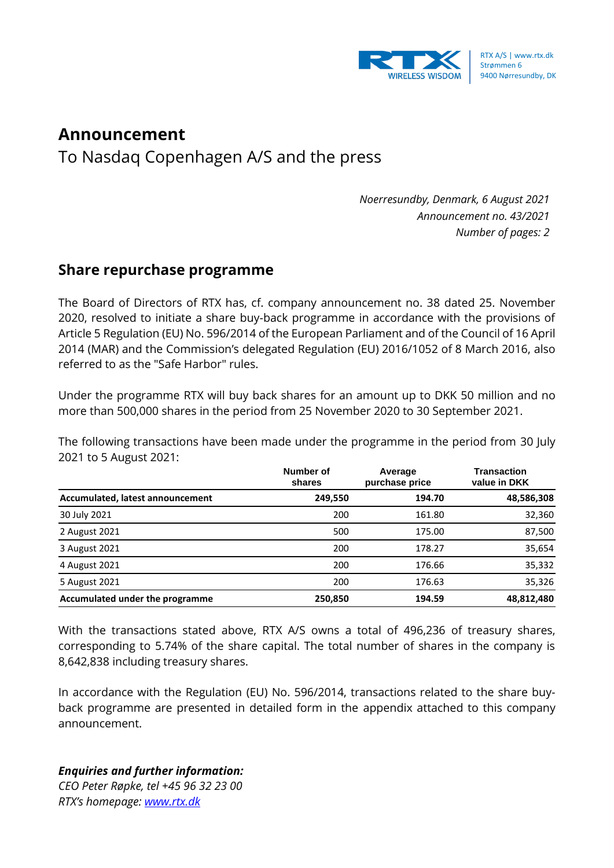

## **Announcement**

To Nasdaq Copenhagen A/S and the press

*Noerresundby, Denmark, 6 August 2021 Announcement no. 43/2021 Number of pages: 2*

## **Share repurchase programme**

The Board of Directors of RTX has, cf. company announcement no. 38 dated 25. November 2020, resolved to initiate a share buy-back programme in accordance with the provisions of Article 5 Regulation (EU) No. 596/2014 of the European Parliament and of the Council of 16 April 2014 (MAR) and the Commission's delegated Regulation (EU) 2016/1052 of 8 March 2016, also referred to as the "Safe Harbor" rules.

Under the programme RTX will buy back shares for an amount up to DKK 50 million and no more than 500,000 shares in the period from 25 November 2020 to 30 September 2021.

The following transactions have been made under the programme in the period from 30 July 2021 to 5 August 2021:

|                                  | Number of<br>shares | Average<br>purchase price | <b>Transaction</b><br>value in DKK |
|----------------------------------|---------------------|---------------------------|------------------------------------|
| Accumulated, latest announcement | 249,550             | 194.70                    | 48,586,308                         |
| 30 July 2021                     | 200                 | 161.80                    | 32,360                             |
| 2 August 2021                    | 500                 | 175.00                    | 87,500                             |
| 3 August 2021                    | 200                 | 178.27                    | 35,654                             |
| 4 August 2021                    | 200                 | 176.66                    | 35,332                             |
| 5 August 2021                    | 200                 | 176.63                    | 35,326                             |
| Accumulated under the programme  | 250,850             | 194.59                    | 48,812,480                         |

With the transactions stated above, RTX A/S owns a total of 496,236 of treasury shares, corresponding to 5.74% of the share capital. The total number of shares in the company is 8,642,838 including treasury shares.

In accordance with the Regulation (EU) No. 596/2014, transactions related to the share buyback programme are presented in detailed form in the appendix attached to this company announcement.

## *Enquiries and further information:*

*CEO Peter Røpke, tel +45 96 32 23 00 RTX's homepage: [www.rtx.dk](http://www.rtx.dk/)*